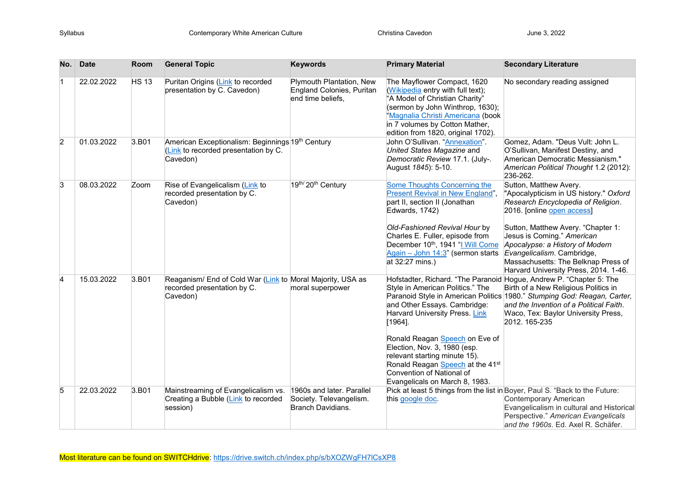| No. | <b>Date</b> | Room         | <b>General Topic</b>                                                                                  | <b>Keywords</b>                                                                  | <b>Primary Material</b>                                                                                                                                                                                                                                                                                                            | <b>Secondary Literature</b>                                                                                                                                                                                                                                                                                                                               |
|-----|-------------|--------------|-------------------------------------------------------------------------------------------------------|----------------------------------------------------------------------------------|------------------------------------------------------------------------------------------------------------------------------------------------------------------------------------------------------------------------------------------------------------------------------------------------------------------------------------|-----------------------------------------------------------------------------------------------------------------------------------------------------------------------------------------------------------------------------------------------------------------------------------------------------------------------------------------------------------|
| 1   | 22.02.2022  | <b>HS 13</b> | Puritan Origins (Link to recorded<br>presentation by C. Cavedon)                                      | Plymouth Plantation, New<br>England Colonies, Puritan<br>end time beliefs.       | The Mayflower Compact, 1620<br>(Wikipedia entry with full text);<br>"A Model of Christian Charity"<br>(sermon by John Winthrop, 1630);<br>'Magnalia Christi Americana (book<br>in 7 volumes by Cotton Mather,<br>edition from 1820, original 1702).                                                                                | No secondary reading assigned                                                                                                                                                                                                                                                                                                                             |
| 2   | 01.03.2022  | 3.B01        | American Exceptionalism: Beginnings 19th Century<br>(Link to recorded presentation by C.<br>Cavedon)  |                                                                                  | John O'Sullivan. "Annexation".<br>United States Magazine and<br>Democratic Review 17.1. (July-.<br>August 1845): 5-10.                                                                                                                                                                                                             | Gomez, Adam. "Deus Vult: John L.<br>O'Sullivan, Manifest Destiny, and<br>American Democratic Messianism."<br>American Political Thought 1.2 (2012):<br>236-262.                                                                                                                                                                                           |
| 3   | 08.03.2022  | Zoom         | Rise of Evangelicalism (Link to<br>recorded presentation by C.<br>Cavedon)                            | 19th/20th Century                                                                | <b>Some Thoughts Concerning the</b><br>Present Revival in New England",<br>part II, section II (Jonathan<br>Edwards, 1742)<br>Old-Fashioned Revival Hour by<br>Charles E. Fuller, episode from<br>December 10 <sup>th</sup> , 1941 "I Will Come<br>Again - John 14:3" (sermon starts<br>at 32:27 mins.)                            | Sutton, Matthew Avery.<br>"Apocalypticism in US history." Oxford<br>Research Encyclopedia of Religion.<br>2016. [online open access]<br>Sutton, Matthew Avery. "Chapter 1:<br>Jesus is Coming." American<br>Apocalypse: a History of Modern<br>Evangelicalism. Cambridge,<br>Massachusetts: The Belknap Press of<br>Harvard University Press, 2014. 1-46. |
| 4   | 15.03.2022  | 3.B01        | Reaganism/ End of Cold War (Link to Moral Majority, USA as<br>recorded presentation by C.<br>Cavedon) | moral superpower                                                                 | Style in American Politics." The<br>and Other Essays. Cambridge:<br>Harvard University Press. Link<br>$[1964]$ .<br>Ronald Reagan Speech on Eve of<br>Election, Nov. 3, 1980 (esp.<br>relevant starting minute 15).<br>Ronald Reagan Speech at the 41 <sup>st</sup><br>Convention of National of<br>Evangelicals on March 8, 1983. | Hofstadter, Richard. "The Paranoid Hogue, Andrew P. "Chapter 5: The<br>Birth of a New Religious Politics in<br>Paranoid Style in American Politics 1980." Stumping God: Reagan, Carter,<br>and the Invention of a Political Faith.<br>Waco, Tex: Baylor University Press,<br>2012. 165-235                                                                |
| 5   | 22.03.2022  | 3.B01        | Mainstreaming of Evangelicalism vs.<br>Creating a Bubble (Link to recorded<br>session)                | 1960s and later. Parallel<br>Society. Televangelism.<br><b>Branch Davidians.</b> | this google doc.                                                                                                                                                                                                                                                                                                                   | Pick at least 5 things from the list in Boyer, Paul S. "Back to the Future:<br>Contemporary American<br>Evangelicalism in cultural and Historical<br>Perspective." American Evangelicals<br>and the 1960s. Ed. Axel R. Schäfer.                                                                                                                           |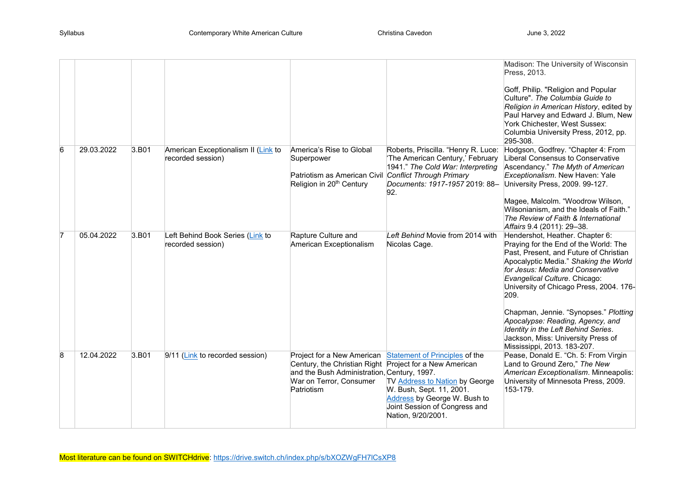|   |            |       |                                                       |                                                                                                                                                                               |                                                                                                                                                                                            | Madison: The University of Wisconsin<br>Press, 2013.<br>Goff, Philip. "Religion and Popular<br>Culture". The Columbia Guide to<br>Religion in American History, edited by<br>Paul Harvey and Edward J. Blum, New<br>York Chichester, West Sussex:<br>Columbia University Press, 2012, pp.                                                                                                                                                                                     |
|---|------------|-------|-------------------------------------------------------|-------------------------------------------------------------------------------------------------------------------------------------------------------------------------------|--------------------------------------------------------------------------------------------------------------------------------------------------------------------------------------------|-------------------------------------------------------------------------------------------------------------------------------------------------------------------------------------------------------------------------------------------------------------------------------------------------------------------------------------------------------------------------------------------------------------------------------------------------------------------------------|
| 6 | 29.03.2022 | 3.B01 | American Exceptionalism II (Link to                   | America's Rise to Global                                                                                                                                                      | Roberts, Priscilla. "Henry R. Luce:                                                                                                                                                        | 295-308.<br>Hodgson, Godfrey. "Chapter 4: From                                                                                                                                                                                                                                                                                                                                                                                                                                |
|   |            |       | recorded session)                                     | Superpower<br>Patriotism as American Civil Conflict Through Primary<br>Religion in 20 <sup>th</sup> Century                                                                   | 'The American Century,' February<br>1941." The Cold War: Interpreting<br>Documents: 1917-1957 2019: 88-<br>92.                                                                             | Liberal Consensus to Conservative<br>Ascendancy." The Myth of American<br>Exceptionalism. New Haven: Yale<br>University Press, 2009. 99-127.<br>Magee, Malcolm. "Woodrow Wilson,<br>Wilsonianism, and the Ideals of Faith."<br>The Review of Faith & International<br>Affairs 9.4 (2011): 29-38.                                                                                                                                                                              |
| 7 | 05.04.2022 | 3.B01 | Left Behind Book Series (Link to<br>recorded session) | Rapture Culture and<br>American Exceptionalism                                                                                                                                | Left Behind Movie from 2014 with<br>Nicolas Cage.                                                                                                                                          | Hendershot, Heather. Chapter 6:<br>Praying for the End of the World: The<br>Past, Present, and Future of Christian<br>Apocalyptic Media." Shaking the World<br>for Jesus: Media and Conservative<br>Evangelical Culture. Chicago:<br>University of Chicago Press, 2004. 176-<br>209.<br>Chapman, Jennie. "Synopses." Plotting<br>Apocalypse: Reading, Agency, and<br>Identity in the Left Behind Series.<br>Jackson, Miss: University Press of<br>Mississippi, 2013. 183-207. |
| 8 | 12.04.2022 | 3.B01 | 9/11 (Link to recorded session)                       | Project for a New American<br>Century, the Christian Right Project for a New American<br>and the Bush Administration, Century, 1997.<br>War on Terror, Consumer<br>Patriotism | <b>Statement of Principles of the</b><br>TV Address to Nation by George<br>W. Bush, Sept. 11, 2001.<br>Address by George W. Bush to<br>Joint Session of Congress and<br>Nation, 9/20/2001. | Pease, Donald E. "Ch. 5: From Virgin<br>Land to Ground Zero," The New<br>American Exceptionalism. Minneapolis:<br>University of Minnesota Press, 2009.<br>153-179.                                                                                                                                                                                                                                                                                                            |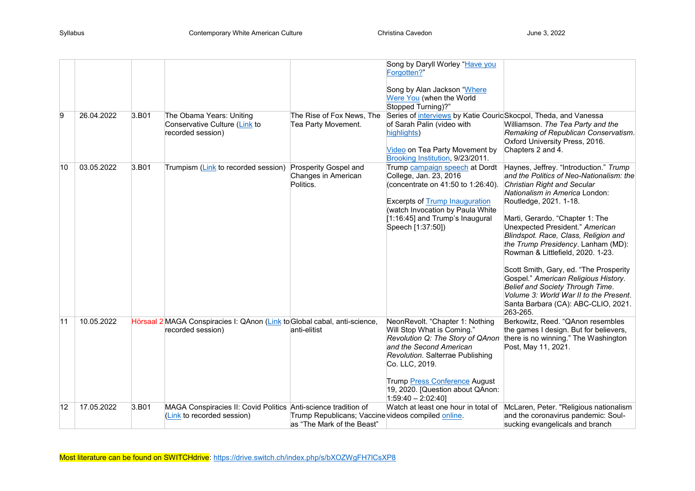|              |            |       |                                                                                                |                                                                                  | Song by Daryll Worley "Have you<br>Forgotten?"                                                                                                                                                                                                          |                                                                                                                                                                                                                                                                                                                                                                                                                                                                                                                                                                                                  |
|--------------|------------|-------|------------------------------------------------------------------------------------------------|----------------------------------------------------------------------------------|---------------------------------------------------------------------------------------------------------------------------------------------------------------------------------------------------------------------------------------------------------|--------------------------------------------------------------------------------------------------------------------------------------------------------------------------------------------------------------------------------------------------------------------------------------------------------------------------------------------------------------------------------------------------------------------------------------------------------------------------------------------------------------------------------------------------------------------------------------------------|
|              |            |       |                                                                                                |                                                                                  | Song by Alan Jackson "Where<br>Were You (when the World<br>Stopped Turning)?"                                                                                                                                                                           |                                                                                                                                                                                                                                                                                                                                                                                                                                                                                                                                                                                                  |
| 9            | 26.04.2022 | 3.B01 | The Obama Years: Uniting<br>Conservative Culture (Link to<br>recorded session)                 | The Rise of Fox News, The<br>Tea Party Movement.                                 | Series of interviews by Katie Couric Skocpol, Theda, and Vanessa<br>of Sarah Palin (video with<br>highlights)<br>Video on Tea Party Movement by<br>Brooking Institution, 9/23/2011.                                                                     | Williamson. The Tea Party and the<br>Remaking of Republican Conservatism.<br>Oxford University Press, 2016.<br>Chapters 2 and 4.                                                                                                                                                                                                                                                                                                                                                                                                                                                                 |
| 10           | 03.05.2022 | 3.B01 | Trumpism (Link to recorded session) Prosperity Gospel and                                      | Changes in American<br>Politics.                                                 | Trump campaign speech at Dordt<br>College, Jan. 23, 2016<br>(concentrate on 41:50 to 1:26:40).<br><b>Excerpts of Trump Inauguration</b><br>(watch Invocation by Paula White<br>[1:16:45] and Trump's Inaugural<br>Speech [1:37:50])                     | Haynes, Jeffrey. "Introduction." Trump<br>and the Politics of Neo-Nationalism: the<br><b>Christian Right and Secular</b><br>Nationalism in America London:<br>Routledge, 2021. 1-18.<br>Marti, Gerardo. "Chapter 1: The<br>Unexpected President." American<br>Blindspot. Race, Class, Religion and<br>the Trump Presidency. Lanham (MD):<br>Rowman & Littlefield, 2020. 1-23.<br>Scott Smith, Gary, ed. "The Prosperity<br>Gospel." American Religious History.<br>Belief and Society Through Time.<br>Volume 3: World War II to the Present.<br>Santa Barbara (CA): ABC-CLIO, 2021.<br>263-265. |
| 11           | 10.05.2022 |       | Hörsaal 2 MAGA Conspiracies I: QAnon (Link to Global cabal, anti-science,<br>recorded session) | anti-elitist                                                                     | NeonRevolt. "Chapter 1: Nothing<br>Will Stop What is Coming."<br>Revolution Q: The Story of QAnon<br>and the Second American<br>Revolution. Salterrae Publishing<br>Co. LLC, 2019.<br>Trump Press Conference August<br>19, 2020. [Question about QAnon: | Berkowitz, Reed. "QAnon resembles<br>the games I design. But for believers,<br>there is no winning." The Washington<br>Post, May 11, 2021.                                                                                                                                                                                                                                                                                                                                                                                                                                                       |
| $ 12\rangle$ | 17.05.2022 | 3.B01 | MAGA Conspiracies II: Covid Politics Anti-science tradition of<br>(Link to recorded session)   | Trump Republicans; Vaccine videos compiled online.<br>as "The Mark of the Beast" | $1:59:40 - 2:02:40$                                                                                                                                                                                                                                     | Watch at least one hour in total of McLaren, Peter. "Religious nationalism<br>and the coronavirus pandemic: Soul-<br>sucking evangelicals and branch                                                                                                                                                                                                                                                                                                                                                                                                                                             |